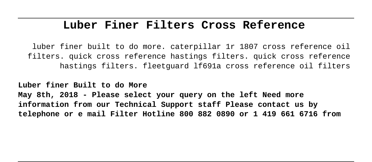## **Luber Finer Filters Cross Reference**

luber finer built to do more. caterpillar 1r 1807 cross reference oil filters. quick cross reference hastings filters. quick cross reference hastings filters. fleetguard lf691a cross reference oil filters

**Luber finer Built to do More May 8th, 2018 - Please select your query on the left Need more information from our Technical Support staff Please contact us by telephone or e mail Filter Hotline 800 882 0890 or 1 419 661 6716 from**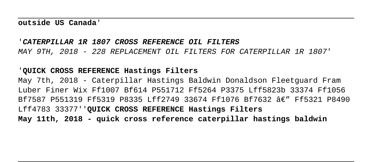## '**CATERPILLAR 1R 1807 CROSS REFERENCE OIL FILTERS** MAY 9TH, 2018 - 228 REPLACEMENT OIL FILTERS FOR CATERPILLAR 1R 1807'

## '**QUICK CROSS REFERENCE Hastings Filters**

May 7th, 2018 - Caterpillar Hastings Baldwin Donaldson Fleetguard Fram Luber Finer Wix Ff1007 Bf614 P551712 Ff5264 P3375 Lff5823b 33374 Ff1056 Bf7587 P551319 Ff5319 P8335 Lff2749 33674 Ff1076 Bf7632 Ae" Ff5321 P8490 Lff4783 33377''**QUICK CROSS REFERENCE Hastings Filters May 11th, 2018 - quick cross reference caterpillar hastings baldwin**